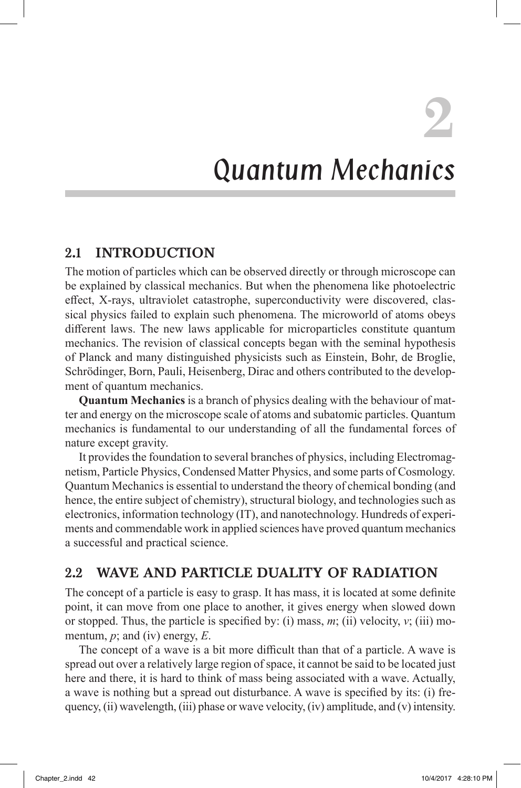**2**

# Quantum Mechanics

## 2.1 INTRODUCTION

The motion of particles which can be observed directly or through microscope can be explained by classical mechanics. But when the phenomena like photoelectric effect, X-rays, ultraviolet catastrophe, superconductivity were discovered, classical physics failed to explain such phenomena. The microworld of atoms obeys different laws. The new laws applicable for microparticles constitute quantum mechanics. The revision of classical concepts began with the seminal hypothesis of Planck and many distinguished physicists such as Einstein, Bohr, de Broglie, Schrödinger, Born, Pauli, Heisenberg, Dirac and others contributed to the development of quantum mechanics.

**Quantum Mechanics** is a branch of physics dealing with the behaviour of matter and energy on the microscope scale of atoms and subatomic particles. Quantum mechanics is fundamental to our understanding of all the fundamental forces of nature except gravity.

It provides the foundation to several branches of physics, including Electromagnetism, Particle Physics, Condensed Matter Physics, and some parts of Cosmology. Quantum Mechanics is essential to understand the theory of chemical bonding (and hence, the entire subject of chemistry), structural biology, and technologies such as electronics, information technology (IT), and nanotechnology. Hundreds of experiments and commendable work in applied sciences have proved quantum mechanics a successful and practical science.

# 2.2 WAVE AND PARTICLE DUALITY OF RADIATION

The concept of a particle is easy to grasp. It has mass, it is located at some definite point, it can move from one place to another, it gives energy when slowed down or stopped. Thus, the particle is specified by: (i) mass, *m*; (ii) velocity, *v*; (iii) momentum, *p*; and (iv) energy, *E*.

The concept of a wave is a bit more difficult than that of a particle. A wave is spread out over a relatively large region of space, it cannot be said to be located just here and there, it is hard to think of mass being associated with a wave. Actually, a wave is nothing but a spread out disturbance. A wave is specified by its: (i) frequency, (ii) wavelength, (iii) phase or wave velocity, (iv) amplitude, and (v) intensity.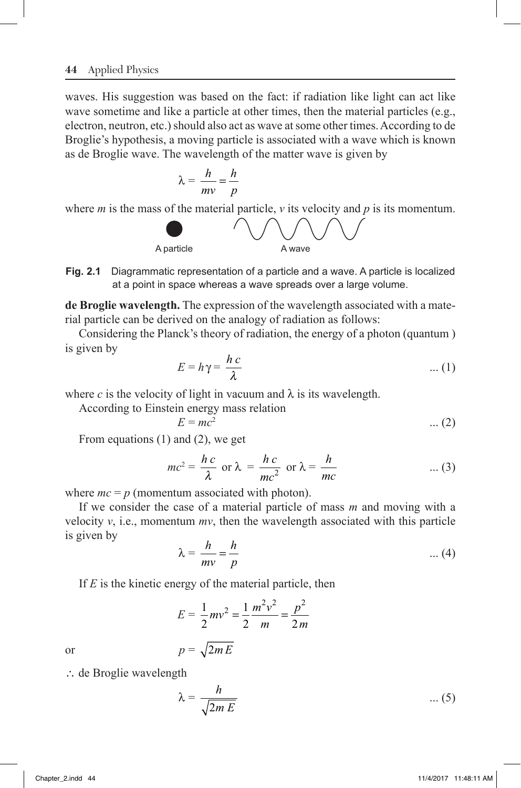#### **44** Applied Physics

waves. His suggestion was based on the fact: if radiation like light can act like wave sometime and like a particle at other times, then the material particles (e.g., electron, neutron, etc.) should also act as wave at some other times. According to de Broglie's hypothesis, a moving particle is associated with a wave which is known as de Broglie wave. The wavelength of the matter wave is given by

$$
\lambda = \frac{h}{mv} = \frac{h}{p}
$$

where *m* is the mass of the material particle, *v* its velocity and *p* is its momentum.



**Fig. 2.1** Diagrammatic representation of a particle and a wave. A particle is localized at a point in space whereas a wave spreads over a large volume.

**de Broglie wavelength.** The expression of the wavelength associated with a material particle can be derived on the analogy of radiation as follows:

Considering the Planck's theory of radiation, the energy of a photon (quantum ) is given by

$$
E = h\gamma = \frac{hc}{\lambda} \tag{1}
$$

where *c* is the velocity of light in vacuum and  $\lambda$  is its wavelength.

According to Einstein energy mass relation

$$
E = mc^2 \tag{2}
$$

From equations (1) and (2), we get

$$
mc^2 = \frac{hc}{\lambda} \text{ or } \lambda = \frac{hc}{mc^2} \text{ or } \lambda = \frac{h}{mc}
$$
 ... (3)

where  $mc = p$  (momentum associated with photon).

If we consider the case of a material particle of mass *m* and moving with a velocity  $v$ , i.e., momentum  $mv$ , then the wavelength associated with this particle is given by

$$
\lambda = \frac{h}{mv} = \frac{h}{p} \tag{4}
$$

If *E* is the kinetic energy of the material particle, then

$$
E = \frac{1}{2}mv^2 = \frac{1}{2}\frac{m^2v^2}{m} = \frac{p^2}{2m}
$$

or  $p = \sqrt{2mE}$ 

 $\therefore$  de Broglie wavelength

$$
\lambda = \frac{h}{\sqrt{2m\,E}} \qquad \qquad \dots (5)
$$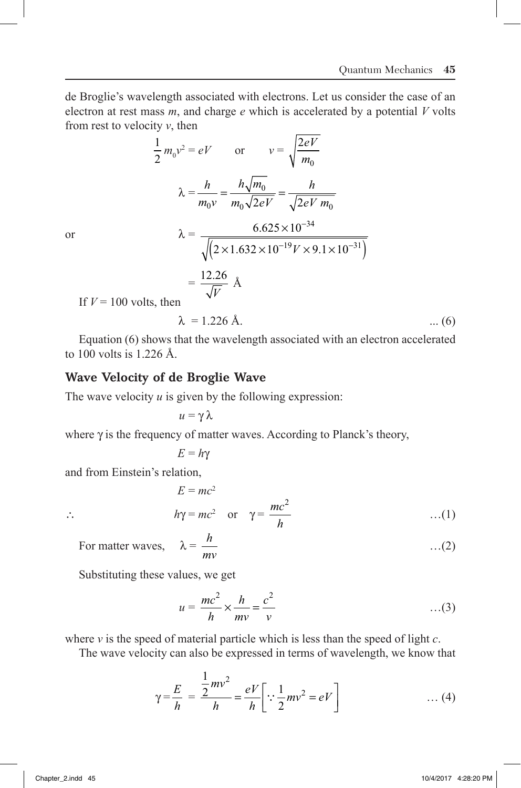de Broglie's wavelength associated with electrons. Let us consider the case of an electron at rest mass *m*, and charge *e* which is accelerated by a potential *V* volts from rest to velocity *v*, then

$$
\frac{1}{2} m_0 v^2 = eV \qquad \text{or} \qquad v = \sqrt{\frac{2eV}{m_0}}
$$

$$
\lambda = \frac{h}{m_0 v} = \frac{h\sqrt{m_0}}{m_0\sqrt{2eV}} = \frac{h}{\sqrt{2eV m_0}}
$$
  
or
$$
\lambda = \frac{6.625 \times 10^{-34}}{\sqrt{(2 \times 1.632 \times 10^{-19} V \times 9.1 \times 10^{-31})}}
$$

$$
= \frac{12.26}{\sqrt{V}} \text{ Å}
$$

If 
$$
V = 100
$$
 volts, then

$$
\lambda = 1.226 \text{ Å.} \tag{6}
$$

Equation (6) shows that the wavelength associated with an electron accelerated to 100 volts is 1.226 Å.

### Wave Velocity of de Broglie Wave

1

The wave velocity *u* is given by the following expression:

$$
\mu=\gamma\,\lambda
$$

where  $\gamma$  is the frequency of matter waves. According to Planck's theory,

$$
E=h\gamma
$$

and from Einstein's relation,

$$
E = mc2
$$
  

$$
h\gamma = mc2 \text{ or } \gamma = \frac{mc2}{h} \qquad ...(1)
$$

$$
atter waves, \quad \lambda = \frac{h}{m}
$$

…(2)

For ma *mv*

Substituting these values, we get

$$
u = \frac{mc^2}{h} \times \frac{h}{mv} = \frac{c^2}{v}
$$
...(3)

where *v* is the speed of material particle which is less than the speed of light *c*.

The wave velocity can also be expressed in terms of wavelength, we know that

$$
\gamma = \frac{E}{h} = \frac{\frac{1}{2}mv^2}{h} = \frac{eV}{h} \left[ \because \frac{1}{2}mv^2 = eV \right] \tag{4}
$$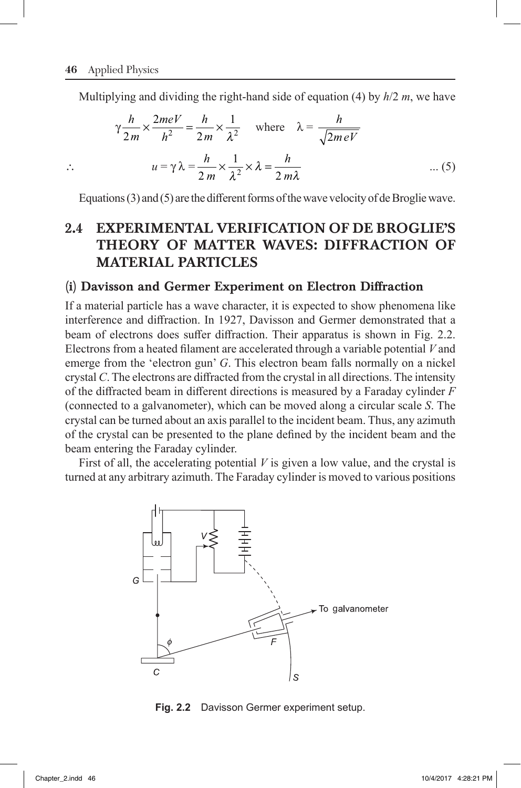Multiplying and dividing the right-hand side of equation (4) by *h*/2 *m*, we have

$$
\gamma \frac{h}{2m} \times \frac{2meV}{h^2} = \frac{h}{2m} \times \frac{1}{\lambda^2} \quad \text{where} \quad \lambda = \frac{h}{\sqrt{2meV}}
$$
  
 
$$
\therefore \qquad u = \gamma \lambda = \frac{h}{2m} \times \frac{1}{\lambda^2} \times \lambda = \frac{h}{2m\lambda} \qquad \qquad \dots (5)
$$

Equations (3) and (5) are the different forms of the wave velocity of de Broglie wave.

# 2.4 EXPERIMENTAL VERIFICATION OF DE BROGLIE'S THEORY OF MATTER WAVES: DIFFRACTION OF MATERIAL PARTICLES

### (i) Davisson and Germer Experiment on Electron Diffraction

If a material particle has a wave character, it is expected to show phenomena like interference and diffraction. In 1927, Davisson and Germer demonstrated that a beam of electrons does suffer diffraction. Their apparatus is shown in Fig. 2.2. Electrons from a heated filament are accelerated through a variable potential *V* and emerge from the 'electron gun' *G*. This electron beam falls normally on a nickel crystal *C*. The electrons are diffracted from the crystal in all directions. The intensity of the diffracted beam in different directions is measured by a Faraday cylinder *F* (connected to a galvanometer), which can be moved along a circular scale *S*. The crystal can be turned about an axis parallel to the incident beam. Thus, any azimuth of the crystal can be presented to the plane defined by the incident beam and the beam entering the Faraday cylinder.

First of all, the accelerating potential *V* is given a low value, and the crystal is turned at any arbitrary azimuth. The Faraday cylinder is moved to various positions



**Fig. 2.2** Davisson Germer experiment setup.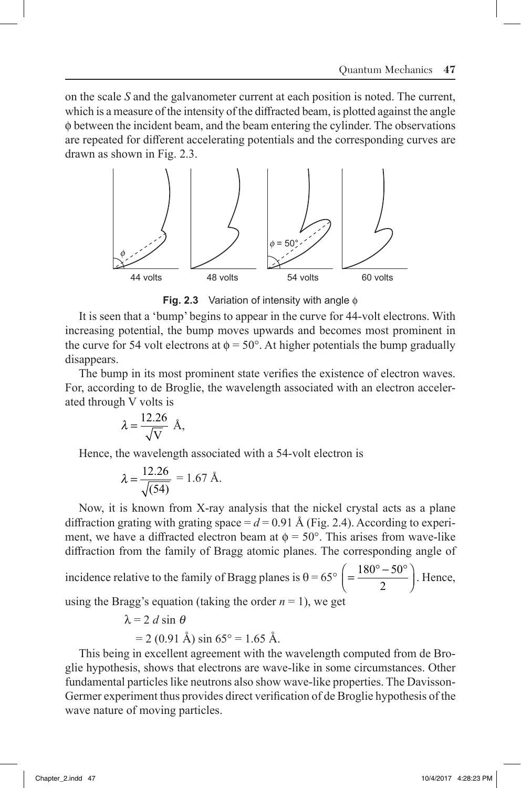on the scale *S* and the galvanometer current at each position is noted. The current, which is a measure of the intensity of the diffracted beam, is plotted against the angle φ between the incident beam, and the beam entering the cylinder. The observations are repeated for different accelerating potentials and the corresponding curves are drawn as shown in Fig. 2.3.



**Fig. 2.3** Variation of intensity with angle  $\phi$ 

It is seen that a 'bump' begins to appear in the curve for 44-volt electrons. With increasing potential, the bump moves upwards and becomes most prominent in the curve for 54 volt electrons at  $\phi = 50^{\circ}$ . At higher potentials the bump gradually disappears.

The bump in its most prominent state verifies the existence of electron waves. For, according to de Broglie, the wavelength associated with an electron accelerated through V volts is

$$
\lambda = \frac{12.26}{\sqrt{V}} \ \text{\AA},
$$

Hence, the wavelength associated with a 54-volt electron is

$$
\lambda = \frac{12.26}{\sqrt{(54)}} = 1.67 \text{ Å}.
$$

Now, it is known from X-ray analysis that the nickel crystal acts as a plane diffraction grating with grating space  $= d = 0.91$  Å (Fig. 2.4). According to experiment, we have a diffracted electron beam at  $\phi = 50^{\circ}$ . This arises from wave-like diffraction from the family of Bragg atomic planes. The corresponding angle of

incidence relative to the family of Bragg planes is  $\theta = 65^{\circ} \left( = \frac{180^{\circ} - 50^{\circ}}{2} \right)$  $\left(=\frac{180^\circ - 50^\circ}{2}\right)$ . Hence,

using the Bragg's equation (taking the order  $n = 1$ ), we get

 $\lambda = 2$  *d* sin  $\theta$ 

$$
= 2 (0.91 \text{ Å}) \sin 65^\circ = 1.65 \text{ Å}.
$$

This being in excellent agreement with the wavelength computed from de Broglie hypothesis, shows that electrons are wave-like in some circumstances. Other fundamental particles like neutrons also show wave-like properties. The Davisson-Germer experiment thus provides direct verification of de Broglie hypothesis of the wave nature of moving particles.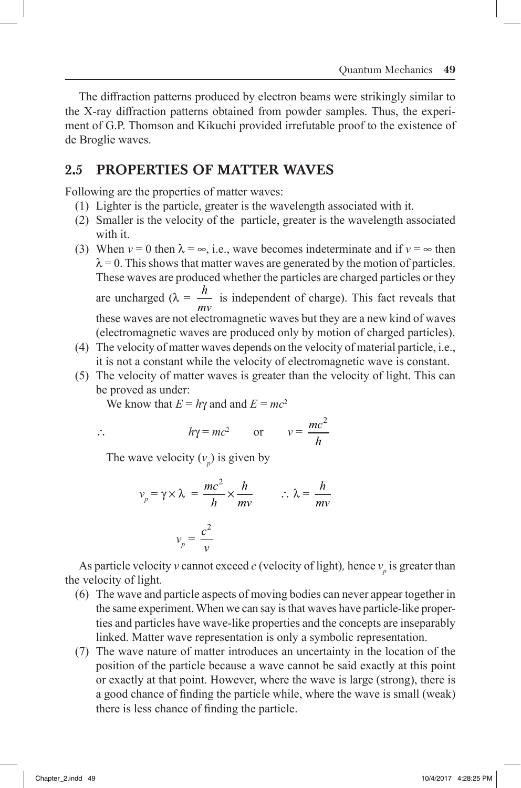The diffraction patterns produced by electron beams were strikingly similar to the X-ray diffraction patterns obtained from powder samples. Thus, the experiment of G.P. Thomson and Kikuchi provided irrefutable proof to the existence of de Broglie waves.

## 2.5 PROPERTIES OF MATTER WAVES

Following are the properties of matter waves:

- (1) Lighter is the particle, greater is the wavelength associated with it.
- (2) Smaller is the velocity of the particle, greater is the wavelength associated with it.
- (3) When  $v = 0$  then  $\lambda = \infty$ , i.e., wave becomes indeterminate and if  $v = \infty$  then  $\lambda = 0$ . This shows that matter waves are generated by the motion of particles. These waves are produced whether the particles are charged particles or they are uncharged ( $\lambda = \frac{h}{h}$ *mv* is independent of charge). This fact reveals that these waves are not electromagnetic waves but they are a new kind of waves (electromagnetic waves are produced only by motion of charged particles).
- (4) The velocity of matter waves depends on the velocity of material particle, i.e., it is not a constant while the velocity of electromagnetic wave is constant.
- (5) The velocity of matter waves is greater than the velocity of light. This can be proved as under:

We know that  $E = h\gamma$  and and  $E = mc^2$ 

$$
\overline{a}
$$

$$
\therefore \qquad h\gamma = mc^2 \qquad \text{or} \qquad v = \frac{mc^2}{h}
$$

The wave velocity  $(v_p)$  is given by

$$
v_p = \gamma \times \lambda = \frac{mc^2}{h} \times \frac{h}{mv}
$$
  

$$
v_p = \frac{c^2}{v}
$$
  

$$
v_p = \frac{m}{v}
$$

As particle velocity *v* cannot exceed *c* (velocity of light), hence  $v_p$  is greater than the velocity of light*.*

- (6) The wave and particle aspects of moving bodies can never appear together in the same experiment. When we can say is that waves have particle-like properties and particles have wave-like properties and the concepts are inseparably linked. Matter wave representation is only a symbolic representation.
- (7) The wave nature of matter introduces an uncertainty in the location of the position of the particle because a wave cannot be said exactly at this point or exactly at that point. However, where the wave is large (strong), there is a good chance of finding the particle while, where the wave is small (weak) there is less chance of finding the particle.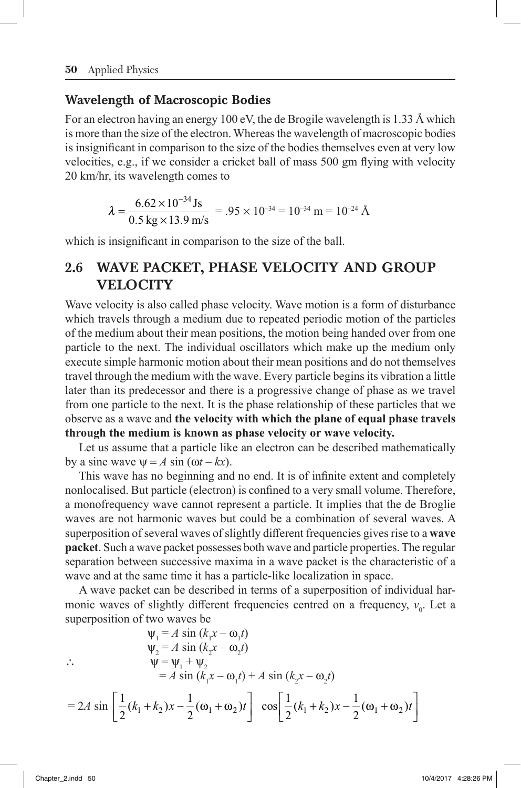### Wavelength of Macroscopic Bodies

For an electron having an energy 100 eV, the de Brogile wavelength is 1.33 Å which is more than the size of the electron. Whereas the wavelength of macroscopic bodies is insignificant in comparison to the size of the bodies themselves even at very low velocities, e.g., if we consider a cricket ball of mass 500 gm flying with velocity 20 km/hr, its wavelength comes to

$$
\lambda = \frac{6.62 \times 10^{-34} \,\text{Js}}{0.5 \,\text{kg} \times 13.9 \,\text{m/s}} = .95 \times 10^{-34} = 10^{-34} \,\text{m} = 10^{-24} \,\text{\AA}
$$

which is insignificant in comparison to the size of the ball.

# 2.6 WAVE PACKET, PHASE VELOCITY AND GROUP **VELOCITY**

Wave velocity is also called phase velocity. Wave motion is a form of disturbance which travels through a medium due to repeated periodic motion of the particles of the medium about their mean positions, the motion being handed over from one particle to the next. The individual oscillators which make up the medium only execute simple harmonic motion about their mean positions and do not themselves travel through the medium with the wave. Every particle begins its vibration a little later than its predecessor and there is a progressive change of phase as we travel from one particle to the next. It is the phase relationship of these particles that we observe as a wave and **the velocity with which the plane of equal phase travels through the medium is known as phase velocity or wave velocity.**

Let us assume that a particle like an electron can be described mathematically by a sine wave  $\Psi = A \sin(\omega t - kx)$ .

This wave has no beginning and no end. It is of infinite extent and completely nonlocalised. But particle (electron) is confined to a very small volume. Therefore, a monofrequency wave cannot represent a particle. It implies that the de Broglie waves are not harmonic waves but could be a combination of several waves. A superposition of several waves of slightly different frequencies gives rise to a **wave packet**. Such a wave packet possesses both wave and particle properties. The regular separation between successive maxima in a wave packet is the characteristic of a wave and at the same time it has a particle-like localization in space.

A wave packet can be described in terms of a superposition of individual harmonic waves of slightly different frequencies centred on a frequency,  $v_0$ . Let a superposition of two waves be

$$
\Psi_1 = A \sin (k_1 x - \omega_1 t)
$$
  
\n
$$
\Psi_2 = A \sin (k_2 x - \omega_2 t)
$$
  
\n
$$
\therefore \qquad \Psi = \Psi_1 + \Psi_2
$$
  
\n
$$
= A \sin (k_1 x - \omega_1 t) + A \sin (k_2 x - \omega_2 t)
$$
  
\n
$$
= 2A \sin \left[ \frac{1}{2} (k_1 + k_2) x - \frac{1}{2} (\omega_1 + \omega_2) t \right] \cos \left[ \frac{1}{2} (k_1 + k_2) x - \frac{1}{2} (\omega_1 + \omega_2) t \right]
$$

˚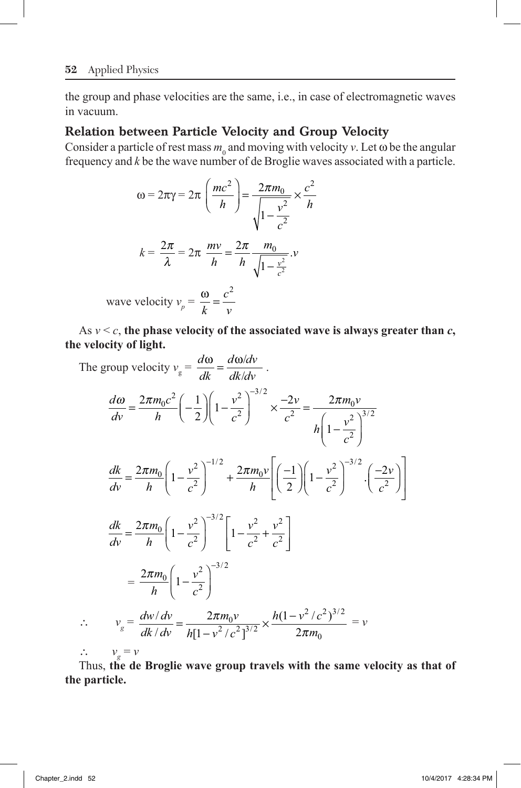the group and phase velocities are the same, i.e., in case of electromagnetic waves in vacuum.

## Relation between Particle Velocity and Group Velocity

Consider a particle of rest mass  $m_0$  and moving with velocity  $v$ . Let  $\omega$  be the angular frequency and *k* be the wave number of de Broglie waves associated with a particle.

$$
\omega = 2\pi\gamma = 2\pi \left(\frac{mc^2}{h}\right) = \frac{2\pi m_0}{\sqrt{1 - \frac{v^2}{c^2}}} \times \frac{c^2}{h}
$$

$$
k = \frac{2\pi}{\lambda} = 2\pi \frac{mv}{h} = \frac{2\pi}{h} \frac{m_0}{\sqrt{1 - \frac{v^2}{c^2}}}.
$$

wave velocity  $v_p = \frac{\omega}{k} = \frac{c^2}{v}$ 2

As  $v < c$ , the phase velocity of the associated wave is always greater than  $c$ , **the velocity of light.**

The group velocity 
$$
v_g = \frac{d\omega}{dk} = \frac{d\omega/dv}{dk/dv}
$$
.  
\n
$$
\frac{d\omega}{dv} = \frac{2\pi m_0 c^2}{h} \left( -\frac{1}{2} \right) \left( 1 - \frac{v^2}{c^2} \right)^{-3/2} \times \frac{-2v}{c^2} = \frac{2\pi m_0 v}{h \left( 1 - \frac{v^2}{c^2} \right)^{3/2}}
$$
\n
$$
\frac{dk}{dv} = \frac{2\pi m_0}{h} \left( 1 - \frac{v^2}{c^2} \right)^{-1/2} + \frac{2\pi m_0 v}{h} \left[ \left( \frac{-1}{2} \right) \left( 1 - \frac{v^2}{c^2} \right)^{-3/2} \cdot \left( \frac{-2v}{c^2} \right) \right]
$$
\n
$$
\frac{dk}{dv} = \frac{2\pi m_0}{h} \left( 1 - \frac{v^2}{c^2} \right)^{-3/2} \left[ 1 - \frac{v^2}{c^2} + \frac{v^2}{c^2} \right]
$$
\n
$$
= \frac{2\pi m_0}{h} \left( 1 - \frac{v^2}{c^2} \right)^{-3/2}
$$
\n
$$
\therefore v_g = \frac{dw/dv}{dk/dv} = \frac{2\pi m_0 v}{h[1 - v^2/c^2]^{3/2}} \times \frac{h(1 - v^2/c^2)^{3/2}}{2\pi m_0} = v
$$
\n
$$
\therefore v_g = v
$$

Thus, **the de Broglie wave group travels with the same velocity as that of the particle.**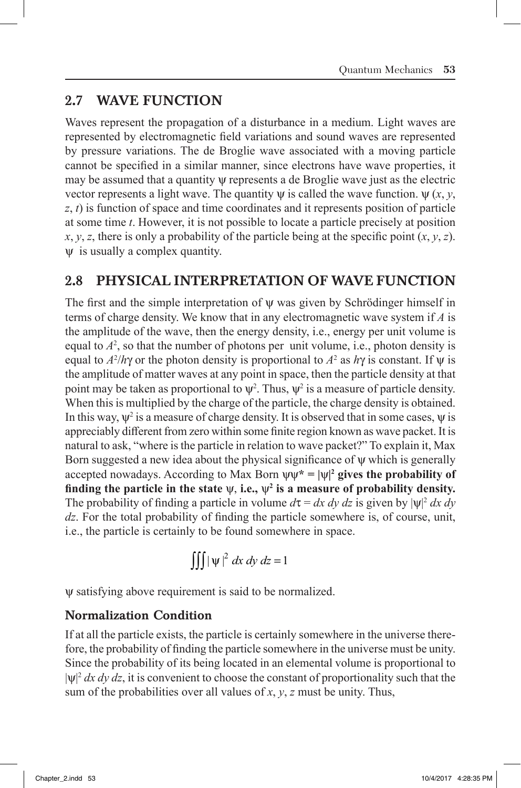# 2.7 WAVE FUNCTION

Waves represent the propagation of a disturbance in a medium. Light waves are represented by electromagnetic field variations and sound waves are represented by pressure variations. The de Broglie wave associated with a moving particle cannot be specified in a similar manner, since electrons have wave properties, it may be assumed that a quantity  $\psi$  represents a de Broglie wave just as the electric vector represents a light wave. The quantity  $\psi$  is called the wave function.  $\psi(x, y, z)$ *z*, *t*) is function of space and time coordinates and it represents position of particle at some time *t*. However, it is not possible to locate a particle precisely at position  $x, y, z$ , there is only a probability of the particle being at the specific point  $(x, y, z)$ .  $\psi$  is usually a complex quantity.

# 2.8 PHYSICAL INTERPRETATION OF WAVE FUNCTION

The first and the simple interpretation of  $\psi$  was given by Schrödinger himself in terms of charge density. We know that in any electromagnetic wave system if *A* is the amplitude of the wave, then the energy density, i.e., energy per unit volume is equal to  $A<sup>2</sup>$ , so that the number of photons per unit volume, i.e., photon density is equal to  $A^2/h\gamma$  or the photon density is proportional to  $A^2$  as  $h\gamma$  is constant. If  $\psi$  is the amplitude of matter waves at any point in space, then the particle density at that point may be taken as proportional to  $\psi^2$ . Thus,  $\psi^2$  is a measure of particle density. When this is multiplied by the charge of the particle, the charge density is obtained. In this way,  $\psi^2$  is a measure of charge density. It is observed that in some cases,  $\psi$  is appreciably different from zero within some finite region known as wave packet. It is natural to ask, "where is the particle in relation to wave packet?" To explain it, Max Born suggested a new idea about the physical significance of  $\psi$  which is generally accepted nowadays. According to Max Born  $\psi^* = |\psi|^2$  gives the probability of finding the particle in the state  $\psi$ , i.e.,  $\psi^2$  is a measure of probability density. The probability of finding a particle in volume  $d\tau = dx dy dz$  is given by  $|\psi|^2 dx dy$ *dz*. For the total probability of finding the particle somewhere is, of course, unit, i.e., the particle is certainly to be found somewhere in space.

$$
\iiint |\psi|^2 dx dy dz = 1
$$

y satisfying above requirement is said to be normalized.

### Normalization Condition

If at all the particle exists, the particle is certainly somewhere in the universe therefore, the probability of finding the particle somewhere in the universe must be unity. Since the probability of its being located in an elemental volume is proportional to  $|\psi|^2 dx dy dz$ , it is convenient to choose the constant of proportionality such that the sum of the probabilities over all values of *x*, *y*, *z* must be unity. Thus,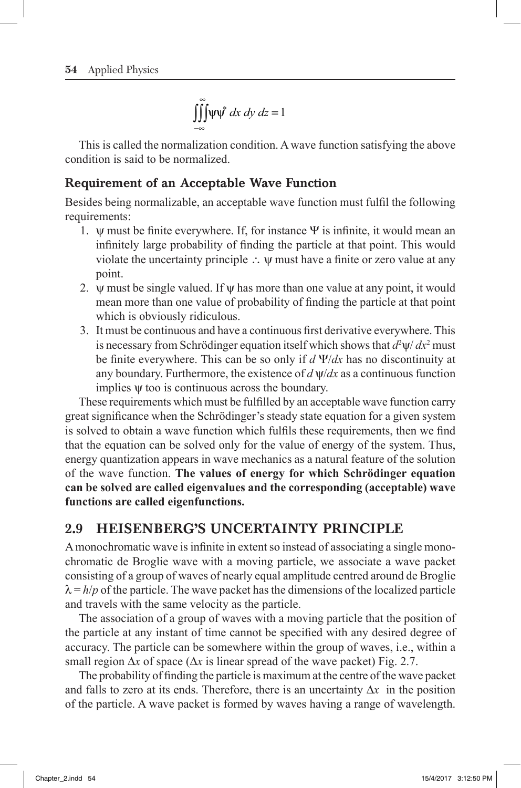$$
\iiint_{-\infty}^{\infty} \psi \psi^* dx dy dz = 1
$$

This is called the normalization condition. A wave function satisfying the above condition is said to be normalized.

### Requirement of an Acceptable Wave Function

Besides being normalizable, an acceptable wave function must fulfil the following requirements:

- 1.  $\psi$  must be finite everywhere. If, for instance  $\Psi$  is infinite, it would mean an infinitely large probability of finding the particle at that point. This would violate the uncertainty principle  $\therefore$   $\psi$  must have a finite or zero value at any point.
- 2.  $\psi$  must be single valued. If  $\psi$  has more than one value at any point, it would mean more than one value of probability of finding the particle at that point which is obviously ridiculous.
- 3. It must be continuous and have a continuous first derivative everywhere. This is necessary from Schrödinger equation itself which shows that  $d^2\psi/dx^2$  must be finite everywhere. This can be so only if *d* Y/*dx* has no discontinuity at any boundary. Furthermore, the existence of  $d \psi/dx$  as a continuous function implies  $\psi$  too is continuous across the boundary.

These requirements which must be fulfilled by an acceptable wave function carry great significance when the Schrödinger's steady state equation for a given system is solved to obtain a wave function which fulfils these requirements, then we find that the equation can be solved only for the value of energy of the system. Thus, energy quantization appears in wave mechanics as a natural feature of the solution of the wave function. **The values of energy for which Schrödinger equation can be solved are called eigenvalues and the corresponding (acceptable) wave functions are called eigenfunctions.**

### 2.9 HEISENBERG'S UNCERTAINTY PRINCIPLE

A monochromatic wave is infinite in extent so instead of associating a single monochromatic de Broglie wave with a moving particle, we associate a wave packet consisting of a group of waves of nearly equal amplitude centred around de Broglie  $\lambda = h/p$  of the particle. The wave packet has the dimensions of the localized particle and travels with the same velocity as the particle.

The association of a group of waves with a moving particle that the position of the particle at any instant of time cannot be specified with any desired degree of accuracy. The particle can be somewhere within the group of waves, i.e., within a small region  $\Delta x$  of space ( $\Delta x$  is linear spread of the wave packet) Fig. 2.7.

The probability of finding the particle is maximum at the centre of the wave packet and falls to zero at its ends. Therefore, there is an uncertainty  $\Delta x$  in the position of the particle. A wave packet is formed by waves having a range of wavelength.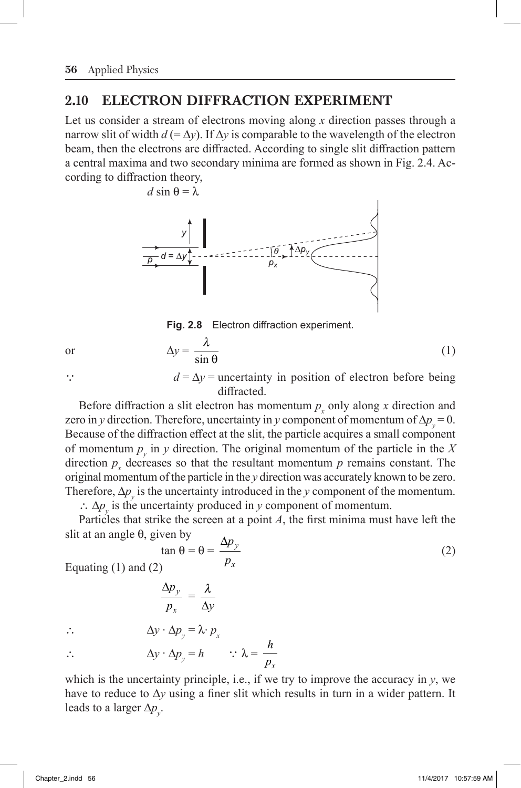## 2.10 ELECTRON DIFFRACTION EXPERIMENT

Let us consider a stream of electrons moving along *x* direction passes through a narrow slit of width  $d (= \Delta y)$ . If  $\Delta y$  is comparable to the wavelength of the electron beam, then the electrons are diffracted. According to single slit diffraction pattern a central maxima and two secondary minima are formed as shown in Fig. 2.4. According to diffraction theory,



**Fig. 2.8** Electron diffraction experiment.

or  $\Delta y = \frac{\lambda}{\lambda}$  $\frac{\pi}{\sin \theta}$  (1)

 $d = \Delta y$  = uncertainty in position of electron before being diffracted.

Before diffraction a slit electron has momentum  $p_x$  only along  $x$  direction and zero in *y* direction. Therefore, uncertainty in *y* component of momentum of  $\Delta p_y = 0$ . Because of the diffraction effect at the slit, the particle acquires a small component of momentum  $p_y$  in *y* direction. The original momentum of the particle in the *X* direction  $p_x$  decreases so that the resultant momentum  $p$  remains constant. The original momentum of the particle in the *y* direction was accurately known to be zero. Therefore,  $\Delta p_y$  is the uncertainty introduced in the *y* component of the momentum.

 $\therefore$   $\Delta p_y$  is the uncertainty produced in *y* component of momentum. Particles that strike the screen at a point *A*, the first minima must have left the slit at an angle  $\theta$ , given by

$$
\tan \theta = \theta = \frac{\Delta p_y}{p_x} \tag{2}
$$

Equating (1) and (2)

$$
\frac{\Delta p_y}{p_x} = \frac{\lambda}{\Delta y}
$$

$$
\therefore \qquad \Delta y \cdot \Delta p_y = \lambda \cdot p_x
$$

 $\therefore$   $\Delta y \cdot \Delta p_y = h$   $\therefore \lambda = \frac{h}{p}$ *px*

which is the uncertainty principle, i.e., if we try to improve the accuracy in *y*, we have to reduce to  $\Delta y$  using a finer slit which results in turn in a wider pattern. It leads to a larger  $\Delta p_y$ .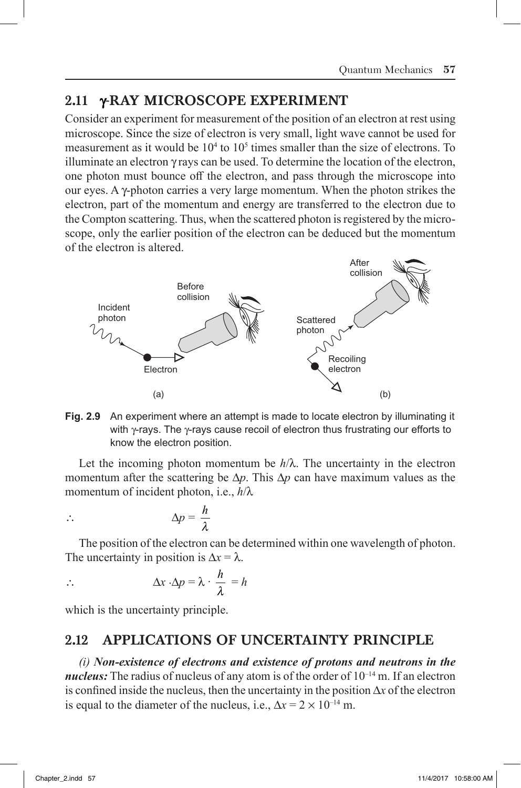# 2.11 YRAY MICROSCOPE EXPERIMENT

Consider an experiment for measurement of the position of an electron at rest using microscope. Since the size of electron is very small, light wave cannot be used for measurement as it would be  $10<sup>4</sup>$  to  $10<sup>5</sup>$  times smaller than the size of electrons. To illuminate an electron  $\gamma$  rays can be used. To determine the location of the electron, one photon must bounce off the electron, and pass through the microscope into our eyes. A y-photon carries a very large momentum. When the photon strikes the electron, part of the momentum and energy are transferred to the electron due to the Compton scattering. Thus, when the scattered photon is registered by the microscope, only the earlier position of the electron can be deduced but the momentum of the electron is altered.



**Fig. 2.9** An experiment where an attempt is made to locate electron by illuminating it with  $\gamma$ -rays. The  $\gamma$ -rays cause recoil of electron thus frustrating our efforts to know the electron position.

Let the incoming photon momentum be  $h/\lambda$ . The uncertainty in the electron momentum after the scattering be  $\Delta p$ . This  $\Delta p$  can have maximum values as the momentum of incident photon, i.e.,  $h/\lambda$ 

> *h l*

$$
\therefore \qquad \Delta p =
$$

The position of the electron can be determined within one wavelength of photon. The uncertainty in position is  $\Delta x = \lambda$ .

$$
\therefore \qquad \Delta x \cdot \Delta p = \lambda \cdot \frac{h}{\lambda} = h
$$

which is the uncertainty principle.

# 2.12 APPLICATIONS OF UNCERTAINTY PRINCIPLE

*(i) Non-existence of electrons and existence of protons and neutrons in the nucleus:* The radius of nucleus of any atom is of the order of  $10^{-14}$  m. If an electron is confined inside the nucleus, then the uncertainty in the position  $\Delta x$  of the electron is equal to the diameter of the nucleus, i.e.,  $\Delta x = 2 \times 10^{-14}$  m.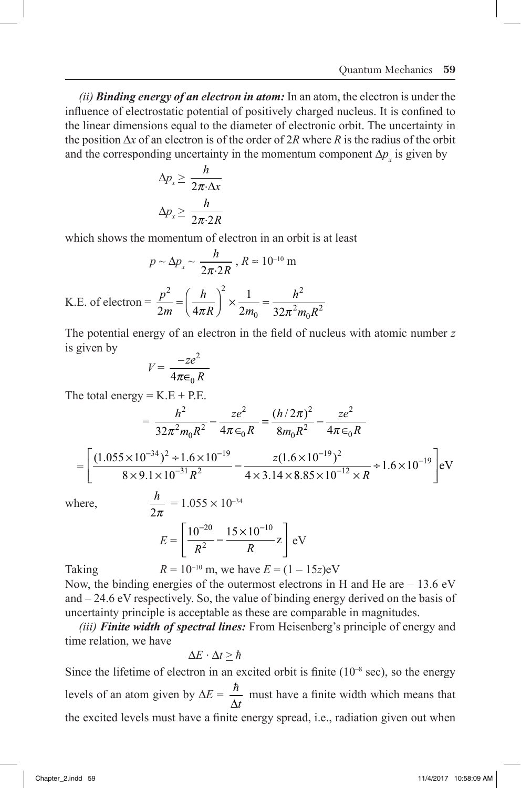*(ii) Binding energy of an electron in atom:* In an atom, the electron is under the influence of electrostatic potential of positively charged nucleus. It is confined to the linear dimensions equal to the diameter of electronic orbit. The uncertainty in the position  $\Delta x$  of an electron is of the order of  $2R$  where  $R$  is the radius of the orbit and the corresponding uncertainty in the momentum component  $\Delta p_x$  is given by

$$
\Delta p_x \ge \frac{h}{2\pi \cdot \Delta x}
$$

$$
\Delta p_x \ge \frac{h}{2\pi \cdot 2R}
$$

which shows the momentum of electron in an orbit is at least

$$
p \sim \Delta p_x \sim \frac{h}{2\pi \cdot 2R}
$$
,  $R \approx 10^{-10}$  m

K.E. of electron =  $\frac{p}{2}$ *m h R m h*  $m_0 R$ 2  $(\mu)^2$ 0 2  $2m \left(4 \pi R \right)^{3} 2 m_0 32 \pi^2 m_0 R^2$  $=\left(\frac{h}{4\pi R}\right)^2 \times \frac{1}{2m_0} = \frac{1}{32\pi}$ 

The potential energy of an electron in the field of nucleus with atomic number *z* is given by

$$
V = \frac{-ze^2}{4\pi\epsilon_0 R}
$$

The total energy  $= K.E + P.E$ .

$$
= \frac{h^2}{32\pi^2 m_0 R^2} - \frac{ze^2}{4\pi \epsilon_0 R} = \frac{(h/2\pi)^2}{8m_0 R^2} - \frac{ze^2}{4\pi \epsilon_0 R}
$$

$$
= \left[ \frac{(1.055 \times 10^{-34})^2 \div 1.6 \times 10^{-19}}{8 \times 9.1 \times 10^{-31} R^2} - \frac{z(1.6 \times 10^{-19})^2}{4 \times 3.14 \times 8.85 \times 10^{-12} \times R} \div 1.6 \times 10^{-19} \right] \text{eV}
$$

where,

$$
\frac{h}{2\pi} = 1.055 \times 10^{-34}
$$

$$
E = \left[\frac{10^{-20}}{R^2} - \frac{15 \times 10^{-10}}{R} \mathbf{z}\right] \text{eV}
$$

Taking  $R = 10^{-10}$  m, we have  $E = (1 - 15z)eV$ Now, the binding energies of the outermost electrons in H and He are – 13.6 eV and – 24.6 eV respectively. So, the value of binding energy derived on the basis of uncertainty principle is acceptable as these are comparable in magnitudes.

*(iii) Finite width of spectral lines:* From Heisenberg's principle of energy and time relation, we have

$$
\Delta E \cdot \Delta t \geq \hbar
$$

Since the lifetime of electron in an excited orbit is finite  $(10^{-8} \text{ sec})$ , so the energy levels of an atom given by  $\Delta E = \frac{\hbar}{\Delta E}$  $\Delta t$  must have a finite width which means that the excited levels must have a finite energy spread, i.e., radiation given out when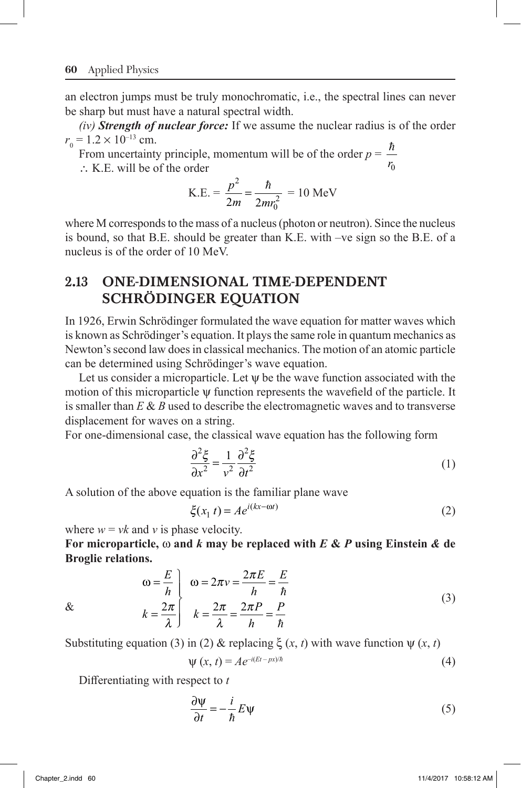an electron jumps must be truly monochromatic, i.e., the spectral lines can never be sharp but must have a natural spectral width.

*(iv) Strength of nuclear force:* If we assume the nuclear radius is of the order  $r_{0} = 1.2 \times 10^{-13}$  cm.

From uncertainty principle, momentum will be of the order  $p = \frac{\hbar}{2}$  $\therefore$  K.E. will be of the order  $V_0$ 

 $K.E. = \frac{p}{2}$ *m mr* 2  $rac{p^2}{2m} = \frac{\hbar}{2mr_0^2} = 10 \text{ MeV}$ 

where M corresponds to the mass of a nucleus (photon or neutron). Since the nucleus is bound, so that B.E. should be greater than K.E. with –ve sign so the B.E. of a nucleus is of the order of 10 MeV.

# 2.13 ONE-DIMENSIONAL TIME-DEPENDENT SCHRÖDINGER EQUATION

In 1926, Erwin Schrödinger formulated the wave equation for matter waves which is known as Schrödinger's equation. It plays the same role in quantum mechanics as Newton's second law does in classical mechanics. The motion of an atomic particle can be determined using Schrödinger's wave equation.

Let us consider a microparticle. Let  $\psi$  be the wave function associated with the motion of this microparticle y function represents the wavefield of the particle. It is smaller than *E* & *B* used to describe the electromagnetic waves and to transverse displacement for waves on a string.

For one-dimensional case, the classical wave equation has the following form

$$
\frac{\partial^2 \xi}{\partial x^2} = \frac{1}{v^2} \frac{\partial^2 \xi}{\partial t^2}
$$
 (1)

A solution of the above equation is the familiar plane wave

$$
\xi(x_1 t) = A e^{i(kx - \omega t)} \tag{2}
$$

where  $w = vk$  and *v* is phase velocity.

**For microparticle,** w **and** *k* **may be replaced with** *E* **&** *P* **using Einstein** *&* **de Broglie relations.**

$$
\omega = \frac{E}{h} \qquad \omega = 2\pi v = \frac{2\pi E}{h} = \frac{E}{h}
$$
  
\n
$$
k = \frac{2\pi}{\lambda} \qquad k = \frac{2\pi}{\lambda} = \frac{2\pi P}{h} = \frac{P}{h}
$$
 (3)

&

Substituting equation (3) in (2) & replacing  $\xi(x, t)$  with wave function  $\psi(x, t)$ 

$$
\Psi(x, t) = Ae^{-i(Et - px)/\hbar}
$$
\n(4)

Differentiating with respect to *t*

$$
\frac{\partial \Psi}{\partial t} = -\frac{i}{\hbar} E \Psi \tag{5}
$$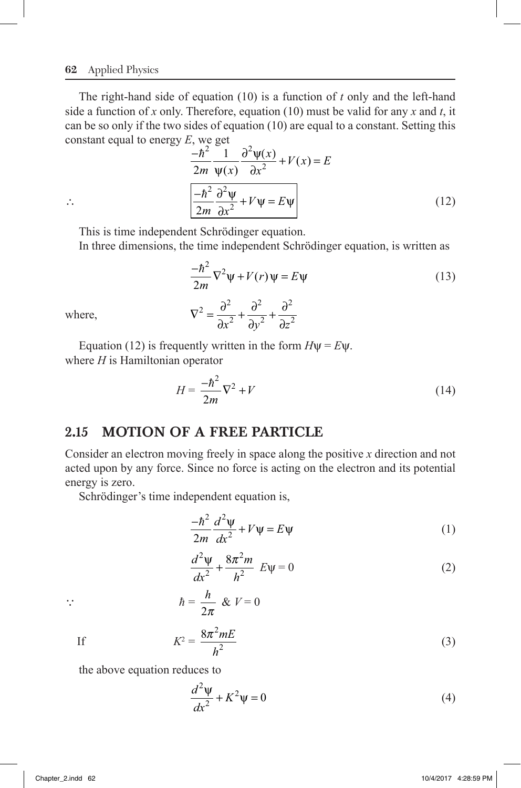#### **62** Applied Physics

The right-hand side of equation (10) is a function of *t* only and the left-hand side a function of *x* only. Therefore, equation (10) must be valid for any *x* and *t*, it can be so only if the two sides of equation (10) are equal to a constant. Setting this constant equal to energy *E*, we get

$$
\frac{-\hbar^2}{2m} \frac{1}{\Psi(x)} \frac{\partial^2 \Psi(x)}{\partial x^2} + V(x) = E
$$
  

$$
\therefore \frac{-\hbar^2}{2m} \frac{\partial^2 \Psi}{\partial x^2} + V\Psi = E\Psi
$$
 (12)

This is time independent Schrödinger equation.

In three dimensions, the time independent Schrödinger equation, is written as

2

*x*<sup>2</sup> ∂*y*<sup>2</sup> ∂*z* 

 $+\frac{6}{5}$ 

 $+\frac{6}{5}$ ∂

$$
\frac{-\hbar^2}{2m}\nabla^2\psi + V(r)\psi = E\psi
$$
\nwhere,

\n
$$
\nabla^2 = \frac{\partial^2}{\partial x^2} + \frac{\partial^2}{\partial y^2} + \frac{\partial^2}{\partial z^2}
$$
\n(13)

where,

Equation (12) is frequently written in the form  $H\psi = E\Psi$ . where *H* is Hamiltonian operator

2

$$
H = \frac{-\hbar^2}{2m}\nabla^2 + V\tag{14}
$$

# 2.15 MOTION OF A FREE PARTICLE

Consider an electron moving freely in space along the positive *x* direction and not acted upon by any force. Since no force is acting on the electron and its potential energy is zero.

Schrödinger's time independent equation is,

$$
\frac{-\hbar^2}{2m}\frac{d^2\psi}{dx^2} + V\psi = E\psi
$$
 (1)

$$
\frac{d^2\psi}{dx^2} + \frac{8\pi^2 m}{h^2} E\psi = 0
$$
 (2)

$$
\therefore \qquad \qquad \hbar = \frac{h}{2\pi} \& V = 0
$$

If 
$$
K^2 = \frac{8\pi^2 mE}{h^2}
$$
 (3)

the above equation reduces to

$$
\frac{d^2\psi}{dx^2} + K^2\psi = 0\tag{4}
$$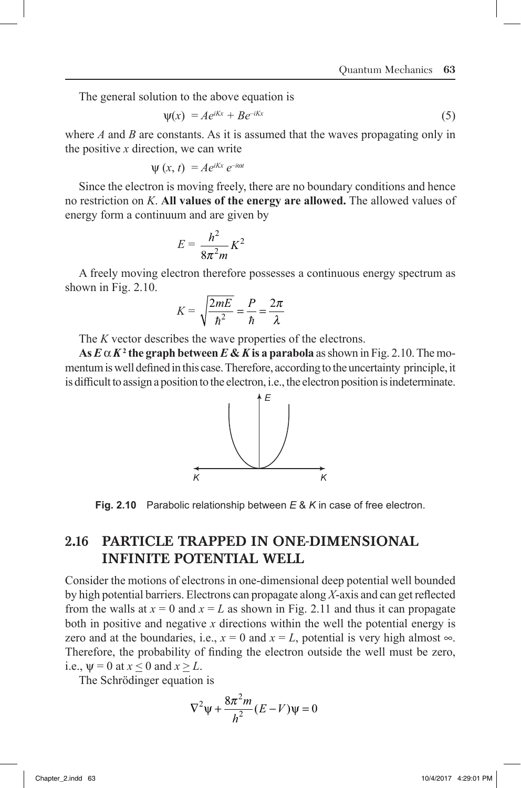The general solution to the above equation is

$$
\psi(x) = Ae^{iKx} + Be^{-iKx} \tag{5}
$$

where *A* and *B* are constants. As it is assumed that the waves propagating only in the positive *x* direction, we can write

$$
\psi(x, t) = Ae^{iKx} e^{-i\omega t}
$$

Since the electron is moving freely, there are no boundary conditions and hence no restriction on *K*. **All values of the energy are allowed.** The allowed values of energy form a continuum and are given by

$$
E = \frac{h^2}{8\pi^2 m} K^2
$$

A freely moving electron therefore possesses a continuous energy spectrum as shown in Fig. 2.10.

$$
K = \sqrt{\frac{2mE}{\hbar^2}} = \frac{P}{\hbar} = \frac{2\pi}{\lambda}
$$

The *K* vector describes the wave properties of the electrons.

 $\mathbf{A}\mathbf{s}\,\pmb{E}\,\pmb{\alpha}\,\pmb{K^2}$  the graph between  $\pmb{E}\,\pmb{\&}\,\pmb{K}$  is a parabola as shown in Fig. 2.10. The momentum is well defined in this case. Therefore, according to the uncertainty principle, it is difficult to assign a position to the electron, i.e., the electron position is indeterminate.



**Fig. 2.10** Parabolic relationship between *E* & *K* in case of free electron.

## 2.16 PARTICLE TRAPPED IN ONE-DIMENSIONAL INFINITE POTENTIAL WELL

Consider the motions of electrons in one-dimensional deep potential well bounded by high potential barriers. Electrons can propagate along *X*-axis and can get reflected from the walls at  $x = 0$  and  $x = L$  as shown in Fig. 2.11 and thus it can propagate both in positive and negative *x* directions within the well the potential energy is zero and at the boundaries, i.e.,  $x = 0$  and  $x = L$ , potential is very high almost  $\infty$ . Therefore, the probability of finding the electron outside the well must be zero, i.e.,  $\psi = 0$  at  $x \le 0$  and  $x \ge L$ .

The Schrödinger equation is

$$
\nabla^2 \psi + \frac{8\pi^2 m}{h^2} (E - V)\psi = 0
$$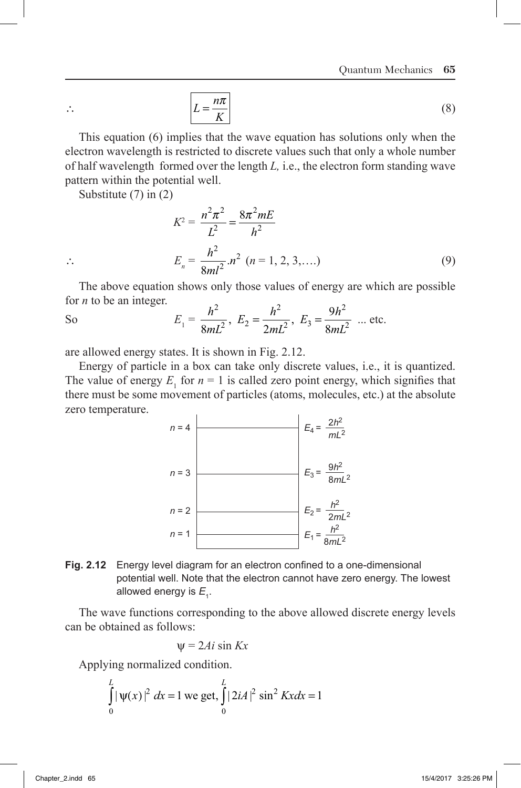$$
L = \frac{n\pi}{K} \tag{8}
$$

This equation (6) implies that the wave equation has solutions only when the electron wavelength is restricted to discrete values such that only a whole number of half wavelength formed over the length *L,* i.e., the electron form standing wave pattern within the potential well.

Substitute (7) in (2)

$$
K^{2} = \frac{n^{2} \pi^{2}}{L^{2}} = \frac{8\pi^{2} mE}{h^{2}}
$$
  
 
$$
\therefore E_{n} = \frac{h^{2}}{8ml^{2}} . n^{2} \ (n = 1, 2, 3, ....)
$$
 (9)

The above equation shows only those values of energy are which are possible for *n* to be an integer.

So 
$$
E_1 = \frac{h^2}{8mL^2}
$$
,  $E_2 = \frac{h^2}{2mL^2}$ ,  $E_3 = \frac{9h^2}{8mL^2}$  ... etc.

are allowed energy states. It is shown in Fig. 2.12.

Energy of particle in a box can take only discrete values, i.e., it is quantized. The value of energy  $E_1$  for  $n = 1$  is called zero point energy, which signifies that there must be some movement of particles (atoms, molecules, etc.) at the absolute zero temperature.



**Fig. 2.12** Energy level diagram for an electron confined to a one-dimensional potential well. Note that the electron cannot have zero energy. The lowest allowed energy is  $E_{_{\rm 1}}$ .

The wave functions corresponding to the above allowed discrete energy levels can be obtained as follows:

$$
\psi = 2Ai \sin Kx
$$

Applying normalized condition.

$$
\int_{0}^{L} |\psi(x)|^{2} dx = 1
$$
 we get, 
$$
\int_{0}^{L} |2iA|^{2} \sin^{2} Kx dx = 1
$$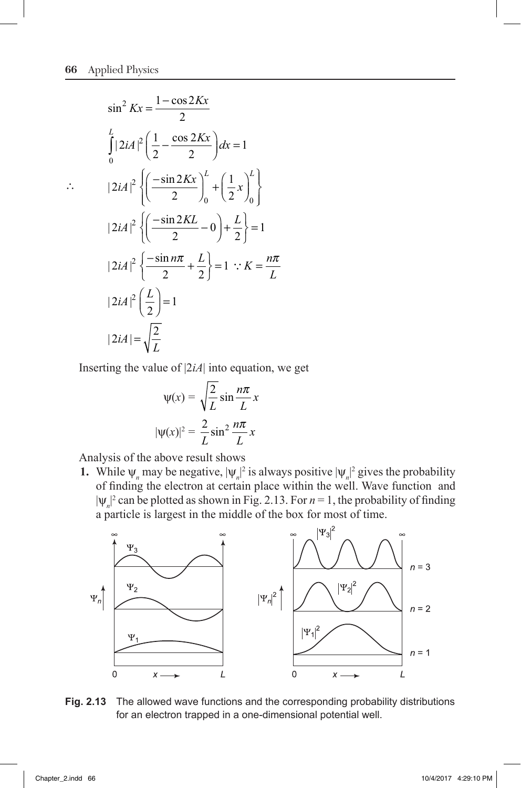$$
\sin^2 Kx = \frac{1-\cos 2Kx}{2}
$$
  
\n
$$
\int_0^L |2iA|^2 \left(\frac{1}{2} - \frac{\cos 2Kx}{2}\right) dx = 1
$$
  
\n
$$
\therefore \qquad |2iA|^2 \left\{ \left(\frac{-\sin 2Kx}{2}\right)_0^L + \left(\frac{1}{2}x\right)_0^L \right\}
$$
  
\n
$$
|2iA|^2 \left\{ \left(\frac{-\sin 2KL}{2} - 0\right) + \frac{L}{2} \right\} = 1
$$
  
\n
$$
|2iA|^2 \left\{ \frac{-\sin n\pi}{2} + \frac{L}{2} \right\} = 1 \therefore K = \frac{n\pi}{L}
$$
  
\n
$$
|2iA|^2 \left(\frac{L}{2}\right) = 1
$$
  
\n
$$
|2iA| = \sqrt{\frac{2}{L}}
$$

Inserting the value of |2*iA*| into equation, we get

$$
\psi(x) = \sqrt{\frac{2}{L}} \sin \frac{n\pi}{L} x
$$

$$
|\psi(x)|^2 = \frac{2}{L} \sin^2 \frac{n\pi}{L} x
$$

Analysis of the above result shows

**1.** While  $\psi_n$  may be negative,  $|\psi_n|^2$  is always positive  $|\psi_n|^2$  gives the probability of finding the electron at certain place within the well. Wave function and  $|\psi_n|^2$  can be plotted as shown in Fig. 2.13. For  $n = 1$ , the probability of finding | a particle is largest in the middle of the box for most of time.



### **Fig. 2.13** The allowed wave functions and the corresponding probability distributions for an electron trapped in a one-dimensional potential well.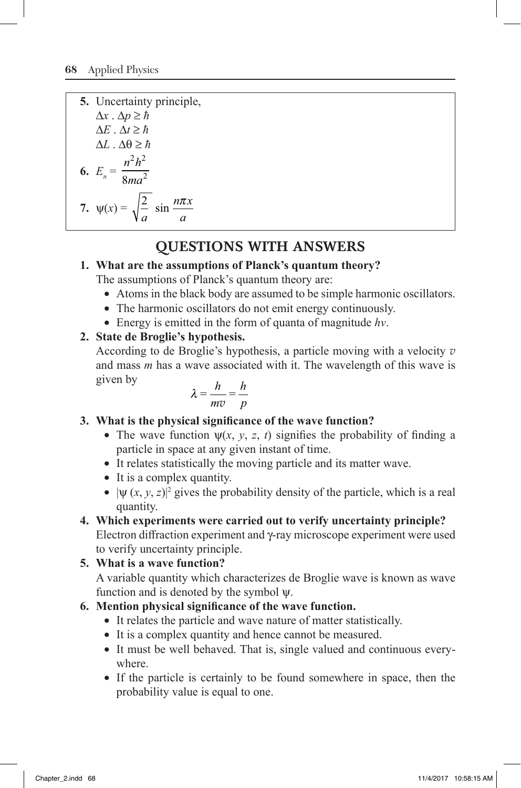**5.** Uncertainty principle,  $\Delta x \cdot \Delta p \geq \hbar$  $\Delta E \cdot \Delta t \geq \hbar$  $\Delta L \cdot \Delta \theta \geq \hbar$ **6.**  $E_n = \frac{n^2 h}{8m e}$ *ma*  $2h^2$  $8ma^2$ **7.**  $\psi(x) = \sqrt{\frac{2}{x}}$ *a*  $n\pi x$ *a*  $\sin \frac{n\pi}{2}$ 

# QUESTIONS WITH ANSWERS

### **1. What are the assumptions of Planck's quantum theory?**

The assumptions of Planck's quantum theory are:

- Atoms in the black body are assumed to be simple harmonic oscillators.
- The harmonic oscillators do not emit energy continuously.
- ∑ Energy is emitted in the form of quanta of magnitude *hv*.

### **2. State de Broglie's hypothesis.**

According to de Broglie's hypothesis, a particle moving with a velocity *v* and mass *m* has a wave associated with it. The wavelength of this wave is given by

$$
\lambda = \frac{h}{mv} = \frac{h}{p}
$$

- **3. What is the physical significance of the wave function?**
	- The wave function  $\psi(x, y, z, t)$  signifies the probability of finding a particle in space at any given instant of time.
	- ∑ It relates statistically the moving particle and its matter wave.
	- It is a complex quantity.
	- $\blacktriangleright$   $|\psi(x, y, z)|^2$  gives the probability density of the particle, which is a real quantity.

# **4. Which experiments were carried out to verify uncertainty principle?**

Electron diffraction experiment and g-ray microscope experiment were used to verify uncertainty principle.

**5. What is a wave function?** A variable quantity which characterizes de Broglie wave is known as wave function and is denoted by the symbol  $\psi$ .

### **6. Mention physical significance of the wave function.**

- It relates the particle and wave nature of matter statistically.
- It is a complex quantity and hence cannot be measured.
- It must be well behaved. That is, single valued and continuous everywhere.
- If the particle is certainly to be found somewhere in space, then the probability value is equal to one.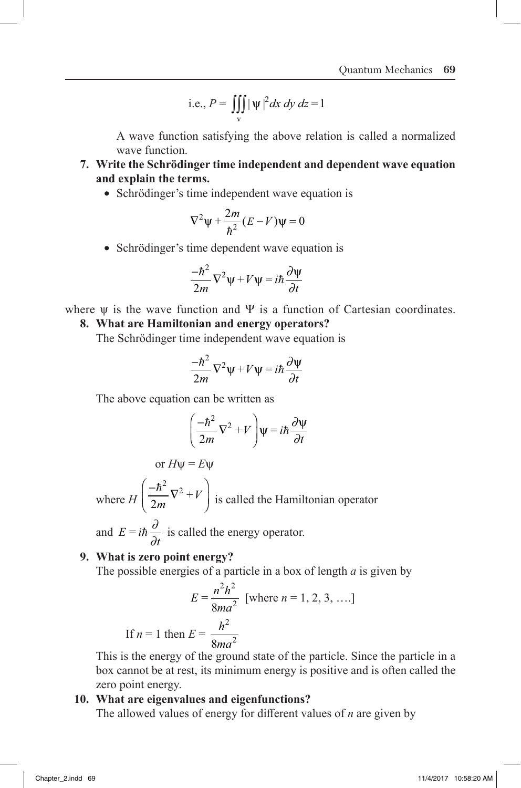i.e., 
$$
P = \iiint_{V} |\psi|^2 dx dy dz = 1
$$

A wave function satisfying the above relation is called a normalized wave function.

- **7. Write the Schrödinger time independent and dependent wave equation and explain the terms.**
	- ∑ Schrödinger's time independent wave equation is

$$
\nabla^2 \psi + \frac{2m}{\hbar^2} (E - V)\psi = 0
$$

• Schrödinger's time dependent wave equation is

$$
\frac{-\hbar^2}{2m}\nabla^2\psi + V\psi = i\hbar\frac{\partial\Psi}{\partial t}
$$

where  $\psi$  is the wave function and  $\Psi$  is a function of Cartesian coordinates.

### **8. What are Hamiltonian and energy operators?**

The Schrödinger time independent wave equation is

$$
\frac{-\hbar^2}{2m}\nabla^2\psi + V\psi = i\hbar\frac{\partial\psi}{\partial t}
$$

The above equation can be written as

$$
\left(\frac{-\hbar^2}{2m}\nabla^2 + V\right)\psi = i\hbar\frac{\partial\Psi}{\partial t}
$$

or 
$$
H\psi = E\psi
$$

where *H*  $\overline{(-)}$ Ë Á ˆ  $\overline{a}$  $\hbar^2$ <sub>V2</sub>  $\left(\frac{n}{2m}\nabla^2 + V\right)$  is called the Hamiltonian operator

and  $E = i\hbar \frac{\partial}{\partial t}$  is called the energy operator.

#### **9. What is zero point energy?**

 $If n$ 

The possible energies of a particle in a box of length *a* is given by

$$
E = \frac{n^2 h^2}{8ma^2}
$$
 [where  $n = 1, 2, 3, ...$ ]  
If  $n = 1$  then  $E = \frac{h^2}{8ma^2}$ 

This is the energy of the ground state of the particle. Since the particle in a box cannot be at rest, its minimum energy is positive and is often called the zero point energy.

#### **10. What are eigenvalues and eigenfunctions?**

The allowed values of energy for different values of *n* are given by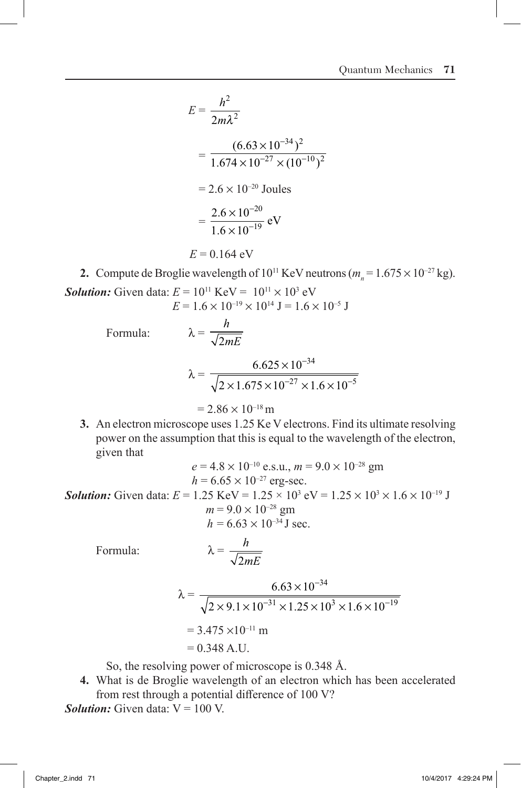$$
E = \frac{h^2}{2m\lambda^2}
$$
  
=  $\frac{(6.63 \times 10^{-34})^2}{1.674 \times 10^{-27} \times (10^{-10})^2}$   
=  $2.6 \times 10^{-20}$  Joules  
=  $\frac{2.6 \times 10^{-20}}{1.6 \times 10^{-19}}$  eV  
 $E = 0.164$  eV

**2.** Compute de Broglie wavelength of  $10^{11}$  KeV neutrons ( $m_n = 1.675 \times 10^{-27}$  kg). **Solution:** Given data:  $E = 10^{11}$  KeV =  $10^{11} \times 10^3$  eV

$$
E = 1.6 \times 10^{-19} \times 10^{14} \text{ J} = 1.6 \times 10^{-5} \text{ J}
$$

Formula:  $\lambda =$ 

$$
\sqrt{2mE}
$$
\n
$$
\lambda = \frac{6.625 \times 10^{-34}}{\sqrt{2 \times 1.675 \times 10^{-27} \times 1.6 \times 10^{-5}}}
$$

$$
= 2.86 \times 10^{-18} \,\mathrm{m}
$$

*h*

**3.** An electron microscope uses 1.25 Ke V electrons. Find its ultimate resolving power on the assumption that this is equal to the wavelength of the electron, given that

$$
e = 4.8 \times 10^{-10} \text{ e.s.u., } m = 9.0 \times 10^{-28} \text{ gm}
$$
  
\n
$$
h = 6.65 \times 10^{-27} \text{ erg-sec.}
$$
  
\n**Solution:** Given data:  $E = 1.25 \text{ KeV} = 1.25 \times 10^3 \text{ eV} = 1.25 \times 10^3 \times 1.6 \times 10^{-19} \text{ J}$   
\n
$$
m = 9.0 \times 10^{-28} \text{ gm}
$$
  
\n
$$
h = 6.63 \times 10^{-34} \text{ J sec.}
$$

Formula:  $\lambda$ 

$$
\lambda = \frac{h}{\sqrt{2mE}}
$$

$$
\lambda = \frac{6.63 \times 10^{-34}}{\sqrt{2 \times 9.1 \times 10^{-31} \times 1.25 \times 10^{3} \times 1.6 \times 10^{-19}}}
$$
  
= 3.475 × 10<sup>-11</sup> m  
= 0.348 A.U.

So, the resolving power of microscope is 0.348 Å.

**4.** What is de Broglie wavelength of an electron which has been accelerated from rest through a potential difference of 100 V?

*Solution:* Given data:  $V = 100$  V.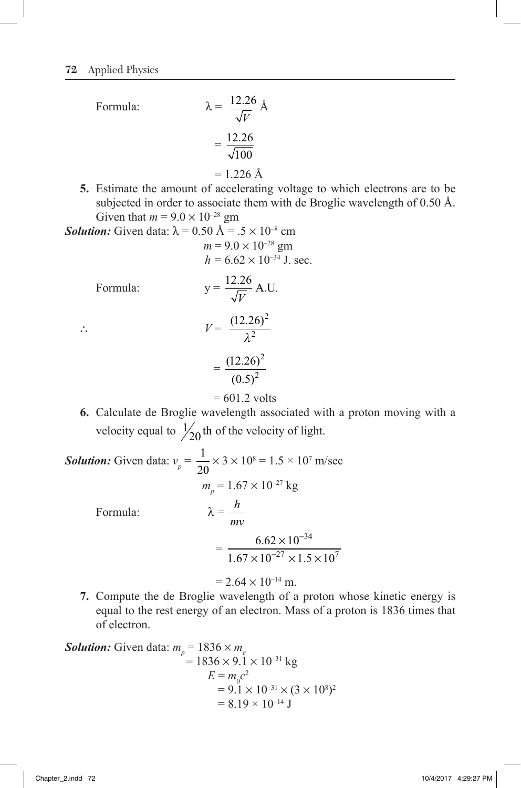Formula: 12.26 *V* Å  $=$ 12 26 100 .  $= 1.226$  Å

**5.** Estimate the amount of accelerating voltage to which electrons are to be subjected in order to associate them with de Broglie wavelength of 0.50 Å. Given that  $m = 9.0 \times 10^{-28}$  gm

**Solution:** Given data:  $\lambda = 0.50 \text{ Å} = .5 \times 10^{-8} \text{ cm}$  $m = 9.0 \times 10^{-28}$  gm

$$
h = 6.62 \times 10^{-34}
$$
 J. sec.

Formula:

Formula: 
$$
y = \frac{12.26}{\sqrt{V}} A.U.
$$
  
\n
$$
V = \frac{(12.26)^2}{\lambda^2}
$$
\n
$$
= \frac{(12.26)^2}{(0.5)^2}
$$

$$
= 601.2
$$
 volts

**6.** Calculate de Broglie wavelength associated with a proton moving with a velocity equal to  $\frac{1}{20}$  th of the velocity of light.

**Solution:** Given data:  $v_p = \frac{1}{20}$ 20  $\times$  3  $\times$  10<sup>8</sup> = 1.5  $\times$  10<sup>7</sup> m/sec  $m_p^{} = 1.67 \times 10^{-27}$  kg Formula: *h mv*  $=\frac{6.62 \times 10}{27}$  $1.67 \times 10^{-27} \times 1.5 \times 10$ 34  $^{27}$   $\sim$  1.5  $\sim$  10<sup>7</sup> .  $.67 \times 10^{-27} \times 1.$ ¥  $\times 10^{-27} \times 1.5 \times$ - -  $= 2.64 \times 10^{-14}$  m.

**7.** Compute the de Broglie wavelength of a proton whose kinetic energy is equal to the rest energy of an electron. Mass of a proton is 1836 times that of electron.

**Solution:** Given data: 
$$
m_p = 1836 \times m_e
$$
  
=  $1836 \times 9.1 \times 10^{-31}$  kg  

$$
E = m_0 c^2
$$

$$
= 9.1 \times 10^{-31} \times (3 \times 10^8)^2
$$

$$
= 8.19 \times 10^{-14}
$$
 J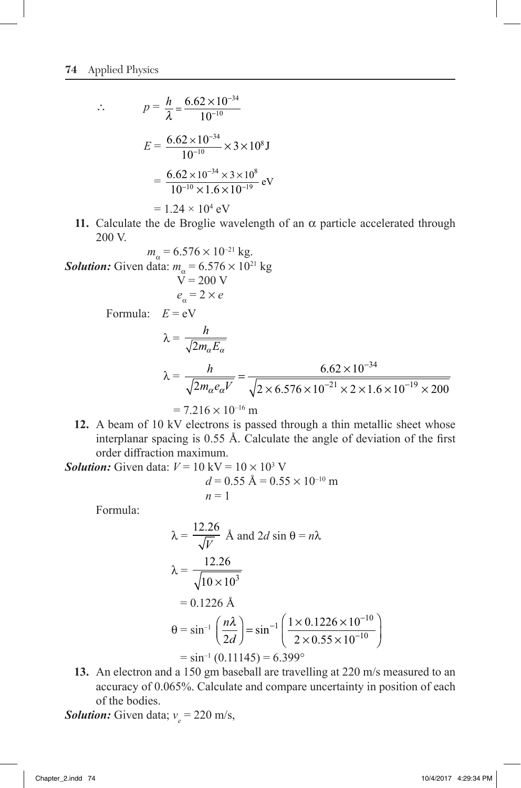$$
\therefore \qquad p = \frac{h}{\lambda} = \frac{6.62 \times 10^{-34}}{10^{-10}}
$$
\n
$$
E = \frac{6.62 \times 10^{-34}}{10^{-10}} \times 3 \times 10^8 \text{ J}
$$
\n
$$
= \frac{6.62 \times 10^{-34} \times 3 \times 10^8}{10^{-10} \times 1.6 \times 10^{-19}} \text{ eV}
$$
\n
$$
= 1.24 \times 10^4 \text{ eV}
$$

**11.** Calculate the de Broglie wavelength of an  $\alpha$  particle accelerated through 200 V.

Solution: Given data: 
$$
m_{\alpha} = 6.576 \times 10^{21}
$$
 kg  
\n $V = 200$  V  
\n $e_{\alpha} = 2 \times e$   
\nFormula:  $E = eV$   
\n $\lambda = \frac{h}{\sqrt{2m_{\alpha}E_{\alpha}}}$   
\n $\lambda = \frac{h}{\sqrt{2m_{\alpha}e_{\alpha}V}} = \frac{6.62 \times 10^{-34}}{\sqrt{2 \times 6.576 \times 10^{-21} \times 2 \times 1.6 \times 10^{-19} \times 200}} = 7.216 \times 10^{-16}$  m

**12.** A beam of 10 kV electrons is passed through a thin metallic sheet whose interplanar spacing is 0.55 Å. Calculate the angle of deviation of the first order diffraction maximum.

**Solution:** Given data:  $V = 10 \text{ kV} = 10 \times 10^3 \text{ V}$ 

$$
d = 0.55 \text{ Å} = 0.55 \times 10^{-10} \text{ m}
$$
  
n = 1

Formula:

$$
\lambda = \frac{12.26}{\sqrt{V}} \text{ Å and } 2d \sin \theta = n\lambda
$$
  

$$
\lambda = \frac{12.26}{\sqrt{10 \times 10^3}}
$$
  
= 0.1226 Å  

$$
\theta = \sin^{-1} \left(\frac{n\lambda}{2d}\right) = \sin^{-1} \left(\frac{1 \times 0.1226 \times 10^{-10}}{2 \times 0.55 \times 10^{-10}}\right)
$$
  
= sin<sup>-1</sup> (0.11145) = 6.399°

**13.** An electron and a 150 gm baseball are travelling at 220 m/s measured to an accuracy of 0.065%. Calculate and compare uncertainty in position of each of the bodies.

**Solution:** Given data;  $v_e = 220$  m/s,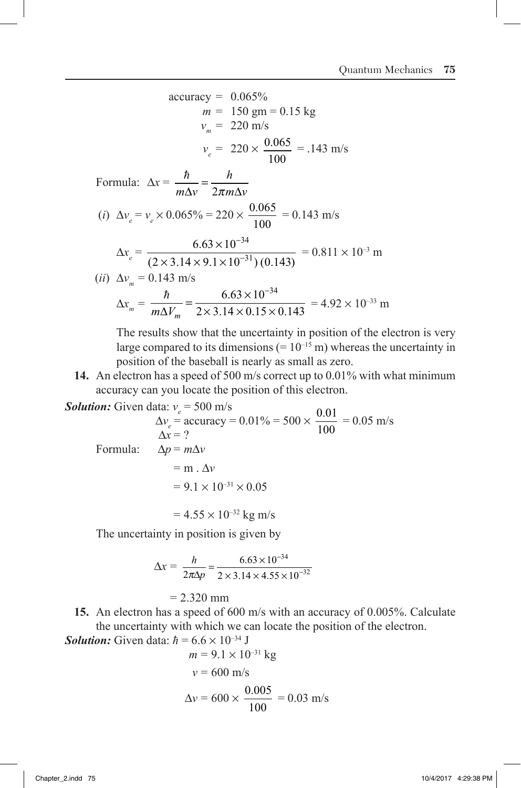accuracy = 0.065%  
\n
$$
m = 150 \text{ gm} = 0.15 \text{ kg}
$$
  
\n $v_m = 220 \text{ m/s}$   
\n $v_e = 220 \times \frac{0.065}{100} = .143 \text{ m/s}$   
\nFormula:  $\Delta x = \frac{\hbar}{m\Delta v} = \frac{h}{2\pi m\Delta v}$   
\n(i)  $\Delta v_e = v_e \times 0.065\% = 220 \times \frac{0.065}{100} = 0.143 \text{ m/s}$   
\n $\Delta x_e = \frac{6.63 \times 10^{-34}}{(2 \times 3.14 \times 9.1 \times 10^{-31})(0.143)} = 0.811 \times 10^{-3} \text{ m}$   
\n(ii)  $\Delta v_m = 0.143 \text{ m/s}$   
\n $\Delta x_m = \frac{\hbar}{m\Delta V_m} = \frac{6.63 \times 10^{-34}}{2 \times 3.14 \times 0.15 \times 0.143} = 4.92 \times 10^{-33} \text{ m}$ 

 The results show that the uncertainty in position of the electron is very large compared to its dimensions  $(= 10^{-15} \text{ m})$  whereas the uncertainty in position of the baseball is nearly as small as zero.

**14.** An electron has a speed of 500 m/s correct up to 0.01% with what minimum accuracy can you locate the position of this electron.

**Solution:** Given data:  $v_e$  = 500 m/s

**Solution:** Given data: 
$$
v_e = 500 \text{ m/s}
$$
  
\n $\Delta v_e = \text{accuracy} = 0.01\% = 500 \times \frac{0.01}{100} = 0.05 \text{ m/s}$   
\n $\Delta x = ?$   
\nFormula:  $\Delta p = m\Delta v$   
\n $= m \cdot \Delta v$   
\n $= 9.1 \times 10^{-31} \times 0.05$   
\n $= 4.55 \times 10^{-32} \text{ kg m/s}$ 

The uncertainty in position is given by

$$
\Delta x = \frac{h}{2\pi\Delta p} = \frac{6.63 \times 10^{-34}}{2 \times 3.14 \times 4.55 \times 10^{-32}}
$$
  
= 2.320 mm

**15.** An electron has a speed of 600 m/s with an accuracy of 0.005%. Calculate the uncertainty with which we can locate the position of the electron.

Solution: Given data: 
$$
\hbar = 6.6 \times 10^{-34} \text{ J}
$$
  
\n $m = 9.1 \times 10^{-31} \text{ kg}$   
\n $v = 600 \text{ m/s}$   
\n $\Delta v = 600 \times \frac{0.005}{100} = 0.03 \text{ m/s}$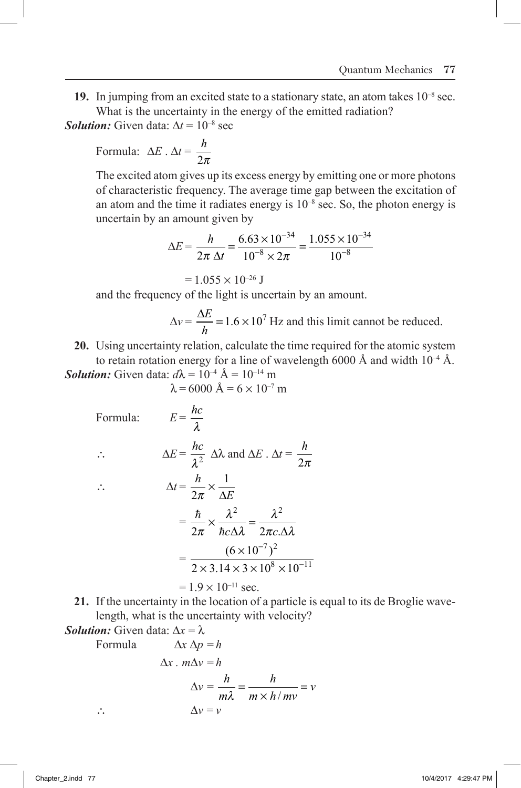**19.** In jumping from an excited state to a stationary state, an atom takes 10–8 sec. What is the uncertainty in the energy of the emitted radiation?

*Solution:* Given data:  $\Delta t = 10^{-8}$  sec

Formula: 
$$
\Delta E \cdot \Delta t = \frac{h}{2\pi}
$$

 The excited atom gives up its excess energy by emitting one or more photons of characteristic frequency. The average time gap between the excitation of an atom and the time it radiates energy is  $10^{-8}$  sec. So, the photon energy is uncertain by an amount given by

$$
\Delta E = \frac{h}{2\pi \Delta t} = \frac{6.63 \times 10^{-34}}{10^{-8} \times 2\pi} = \frac{1.055 \times 10^{-34}}{10^{-8}}
$$

 $= 1.055 \times 10^{-26}$  J

and the frequency of the light is uncertain by an amount.

$$
\Delta v = \frac{\Delta E}{h} = 1.6 \times 10^7
$$
 Hz and this limit cannot be reduced.

**20.** Using uncertainty relation, calculate the time required for the atomic system to retain rotation energy for a line of wavelength 6000 Å and width  $10^{-4}$  Å. *Solution:* Given data:  $d\lambda = 10^{-4}$  Å =  $10^{-14}$  m

 $\lambda = 6000 \text{ Å} = 6 \times 10^{-7} \text{ m}$ 

Formula:  $E = \frac{hc}{\lambda}$ *l*  $\therefore$   $\Delta E = \frac{hc}{\lambda^2} \Delta \lambda$  and  $\Delta E \cdot \Delta t = \frac{h}{2\lambda^2}$ 2*p*  $\therefore$   $\Delta t = \frac{h}{2}$  $2\pi$   $\Delta E$ 1  $\pi$ ¥  $\Delta$  $=\frac{\hbar}{2}$  $2\pi$   $\hbar c \Delta \lambda$  2 2 2  $\pi$ *l l*  $\propto \frac{\lambda^2}{\hbar c \Delta \lambda} = \frac{\lambda^2}{2\pi c \Delta \lambda}$  $=\frac{(6\times10^{-7})}{2(1.0\times10^{-3})}$ .  $6 \times 10$  $2 \times 3.14 \times 3 \times 10^8 \times 10$  $7\sqrt{2}$  $8 \times 10^{-11}$ ¥  $\times$  3.14  $\times$  3  $\times$  10<sup>8</sup>  $\times$ - -  $= 1.9 \times 10^{-11}$  sec.

**21.** If the uncertainty in the location of a particle is equal to its de Broglie wavelength, what is the uncertainty with velocity?

Solution: Given data: 
$$
\Delta x = \lambda
$$
  
Formula  $\Delta x \Delta p = h$   
 $\Delta x \cdot m \Delta v = h$   
 $\Delta v = \frac{h}{m\lambda} = \frac{h}{m \times h/mv} = v$   
 $\therefore \qquad \Delta v = v$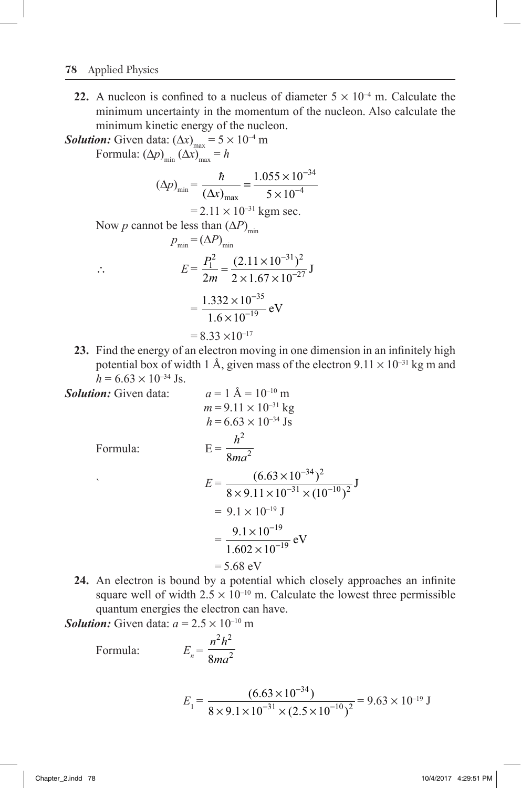#### **78** Applied Physics

**22.** A nucleon is confined to a nucleus of diameter  $5 \times 10^{-4}$  m. Calculate the minimum uncertainty in the momentum of the nucleon. Also calculate the minimum kinetic energy of the nucleon.

*Solution:* Given data:  $(\Delta x)_{\text{max}} = 5 \times 10^{-4}$  m Formula:  $(\Delta p)_{\min}$   $(\Delta x)_{\max}$  = *h*  $(\Delta p)_{\min} = \frac{\hbar}{(\Delta x)}$  $\frac{\hbar}{\Delta x}_{\text{max}} = \frac{1.055 \times 1}{5 \times 1}$ - -  $1.055 \times 10$  $5 \times 10$ 34 4  $= 2.11 \times 10^{-31}$  kgm sec. Now *p* cannot be less than  $(\Delta P)_{\text{min}}$  $p_{\min} = (\Delta P)_{\min}$  $\therefore$   $E = \frac{P_1}{P_2}$ *m*  $\frac{Q_1^2}{1}$  =  $\frac{(2.11 \times 10^{-31})^2}{1}$  $2m \overline{2} \times 1.67 \times 10^{-27}$  $=\frac{(2.11 \times 10^{-31})}{2 \times 1.67 \times 10}$ - -  $\frac{(2.11 \times 10^{-31})^2}{2 \times 1.67 \times 10^{-27}}$  J  $=\frac{1.332 \times 10}{1.6 \times 10^{-4}}$  $1.6 \times 10$ 35 19 . . ¥ ¥ -  $\frac{6}{-19}$  eV  $= 8.33 \times 10^{-17}$ 

**23.** Find the energy of an electron moving in one dimension in an infinitely high potential box of width 1 Å, given mass of the electron  $9.11 \times 10^{-31}$  kg m and  $h = 6.63 \times 10^{-34}$  Js.

Solution: Given data:  
\n
$$
a = 1 \text{ Å} = 10^{-10} \text{ m}
$$
\n
$$
m = 9.11 \times 10^{-31} \text{ kg}
$$
\n
$$
h = 6.63 \times 10^{-34} \text{ Js}
$$
\nFormula:  
\n
$$
E = \frac{h^2}{8ma^2}
$$
\n
$$
E = \frac{(6.63 \times 10^{-34})^2}{8 \times 9.11 \times 10^{-31} \times (10^{-10})^2} \text{ J}
$$
\n
$$
= 9.1 \times 10^{-19} \text{ J}
$$
\n
$$
= \frac{9.1 \times 10^{-19}}{1.602 \times 10^{-19}} \text{ eV}
$$
\n
$$
= 5.68 \text{ eV}
$$

**24.** An electron is bound by a potential which closely approaches an infinite square well of width  $2.5 \times 10^{-10}$  m. Calculate the lowest three permissible quantum energies the electron can have.

*Solution:* Given data:  $a = 2.5 \times 10^{-10}$  m

 $Formula:$ 

$$
E_n = \frac{n^2 h^2}{8m a^2}
$$

$$
E_1 = \frac{(6.63 \times 10^{-34})}{8 \times 9.1 \times 10^{-31} \times (2.5 \times 10^{-10})^2} = 9.63 \times 10^{-19} \text{ J}
$$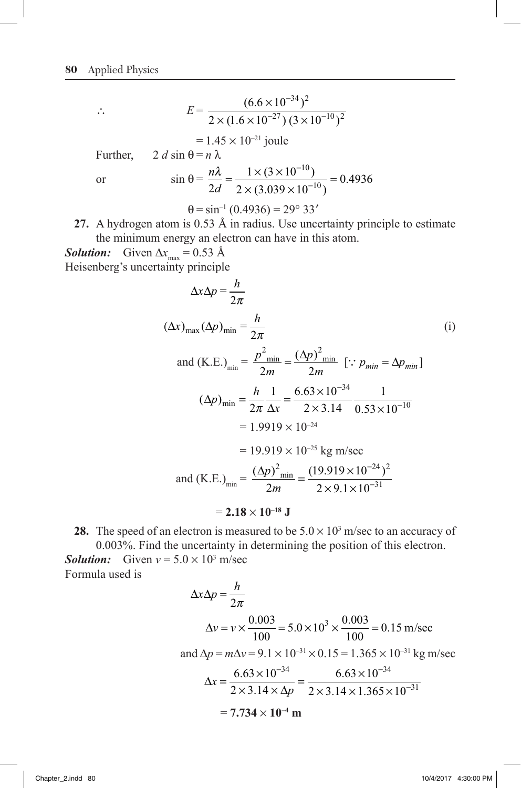$$
E = \frac{(6.6 \times 10^{-34})^2}{2 \times (1.6 \times 10^{-27}) (3 \times 10^{-10})^2}
$$
  
= 1.45 × 10<sup>-21</sup> joule  
Further,  $2 d \sin \theta = n \lambda$   
or  $\sin \theta = \frac{n\lambda}{2d} = \frac{1 \times (3 \times 10^{-10})}{2 \times (3.039 \times 10^{-10})} = 0.4936$   
 $\theta = \sin^{-1} (0.4936) = 29^{\circ} 33'$ 

**27.** A hydrogen atom is 0.53 Å in radius. Use uncertainty principle to estimate the minimum energy an electron can have in this atom.

*Solution:* Given  $\Delta x_{\text{max}} = 0.53 \text{ Å}$ Heisenberg's uncertainty principle

$$
\Delta x \Delta p = \frac{h}{2\pi}
$$
\n
$$
(\Delta x)_{\text{max}} (\Delta p)_{\text{min}} = \frac{h}{2\pi}
$$
\n
$$
\text{and (K.E.)}_{\text{min}} = \frac{p^2_{\text{min}}}{2m} = \frac{(\Delta p)^2_{\text{min}}}{2m} \quad [\because p_{\text{min}} = \Delta p_{\text{min}}]
$$
\n
$$
(\Delta p)_{\text{min}} = \frac{h}{2\pi} \frac{1}{\Delta x} = \frac{6.63 \times 10^{-34}}{2 \times 3.14} \frac{1}{0.53 \times 10^{-10}}
$$
\n
$$
= 1.9919 \times 10^{-24}
$$
\n
$$
= 19.919 \times 10^{-25} \text{ kg m/sec}
$$
\n
$$
\text{and (K.E.)}_{\text{min}} = \frac{(\Delta p)^2_{\text{min}}}{2m} = \frac{(19.919 \times 10^{-24})^2}{2 \times 9.1 \times 10^{-31}}
$$
\n
$$
= 2.18 \times 10^{-18} \text{ J}
$$
\n
$$
(i)
$$

**28.** The speed of an electron is measured to be  $5.0 \times 10^3$  m/sec to an accuracy of 0.003%. Find the uncertainty in determining the position of this electron. **Solution:** Given  $v = 5.0 \times 10^3$  m/sec

Formula used is

$$
\Delta x \Delta p = \frac{h}{2\pi}
$$
  
\n
$$
\Delta v = v \times \frac{0.003}{100} = 5.0 \times 10^3 \times \frac{0.003}{100} = 0.15 \text{ m/sec}
$$
  
\nand  $\Delta p = m\Delta v = 9.1 \times 10^{-31} \times 0.15 = 1.365 \times 10^{-31} \text{ kg m/sec}$   
\n
$$
\Delta x = \frac{6.63 \times 10^{-34}}{2 \times 3.14 \times \Delta p} = \frac{6.63 \times 10^{-34}}{2 \times 3.14 \times 1.365 \times 10^{-31}}
$$
  
\n= 7.734 × 10<sup>-4</sup> m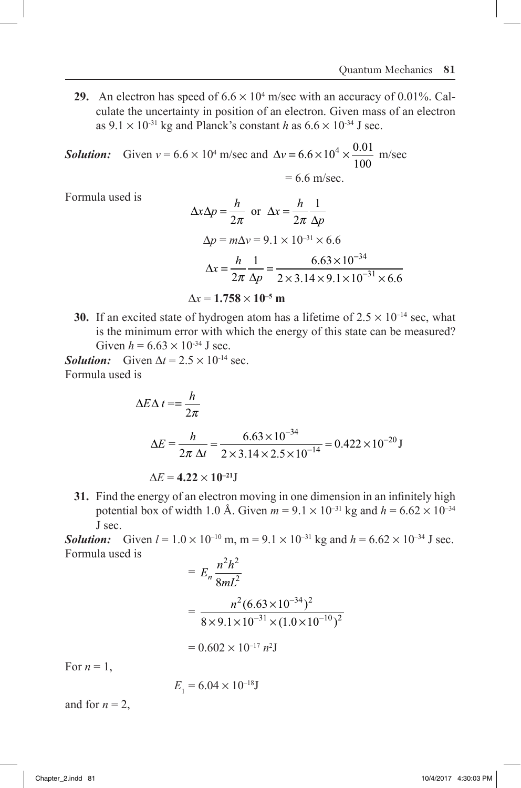**29.** An electron has speed of  $6.6 \times 10^4$  m/sec with an accuracy of 0.01%. Calculate the uncertainty in position of an electron. Given mass of an electron as  $9.1 \times 10^{-31}$  kg and Planck's constant *h* as  $6.6 \times 10^{-34}$  J sec.

**Solution:** Given  $v = 6.6 \times 10^4$  m/sec and  $\Delta v = 6.6 \times 10^4 \times \frac{0.01}{100}$ 100  $.6 \times 10^4 \times \frac{0.01}{100}$  m/sec  $= 6.6$  m/sec.

Formula used is

$$
\Delta x \Delta p = \frac{h}{2\pi} \text{ or } \Delta x = \frac{h}{2\pi} \frac{1}{\Delta p}
$$
  
 
$$
\Delta p = m \Delta v = 9.1 \times 10^{-31} \times 6.6
$$
  
 
$$
\Delta x = \frac{h}{2\pi} \frac{1}{\Delta p} = \frac{6.63 \times 10^{-34}}{2 \times 3.14 \times 9.1 \times 10^{-31} \times 6.6}
$$
  
 
$$
\Delta x = 1.758 \times 10^{-5} \text{ m}
$$

**30.** If an excited state of hydrogen atom has a lifetime of  $2.5 \times 10^{-14}$  sec, what is the minimum error with which the energy of this state can be measured? Given  $h = 6.63 \times 10^{-34}$  J sec.

*Solution:* Given  $\Delta t = 2.5 \times 10^{-14}$  sec. Formula used is

$$
\Delta E \Delta t = \frac{h}{2\pi}
$$
  
\n
$$
\Delta E = \frac{h}{2\pi \Delta t} = \frac{6.63 \times 10^{-34}}{2 \times 3.14 \times 2.5 \times 10^{-14}} = 0.422 \times 10^{-20} \text{ J}
$$
  
\n
$$
\Delta E = 4.22 \times 10^{-21} \text{ J}
$$

**31.** Find the energy of an electron moving in one dimension in an infinitely high potential box of width 1.0 Å. Given  $m = 9.1 \times 10^{-31}$  kg and  $h = 6.62 \times 10^{-34}$ J sec.

**Solution:** Given  $l = 1.0 \times 10^{-10}$  m, m =  $9.1 \times 10^{-31}$  kg and  $h = 6.62 \times 10^{-34}$  J sec. Formula used is

$$
= E_n \frac{n^2 h^2}{8mL^2}
$$
  
= 
$$
\frac{n^2 (6.63 \times 10^{-34})^2}{8 \times 9.1 \times 10^{-31} \times (1.0 \times 10^{-10})^2}
$$
  
= 0.602 × 10<sup>-17</sup> n<sup>2</sup>J

For  $n = 1$ ,

 $E_1 = 6.04 \times 10^{-18}$ J

and for  $n = 2$ ,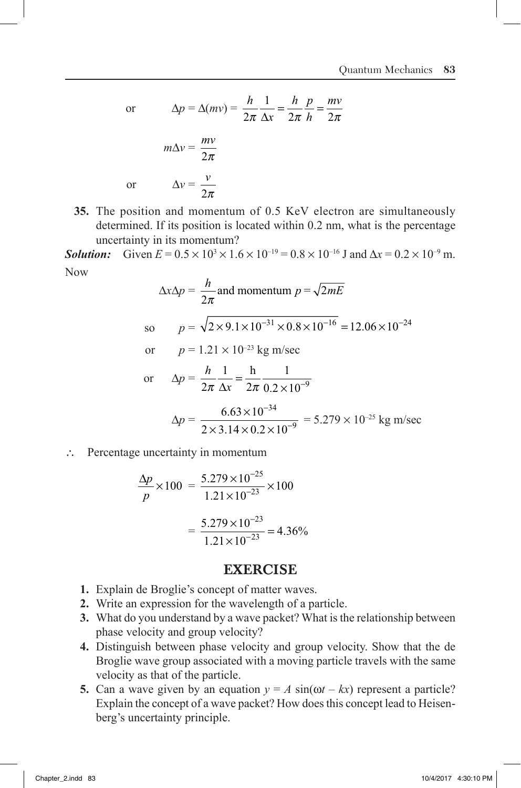or D*v* =

or 
$$
\Delta p = \Delta (mv) = \frac{h}{2\pi} \frac{1}{\Delta x} = \frac{h}{2\pi} \frac{p}{h} = \frac{mv}{2\pi}
$$

$$
m\Delta v = \frac{mv}{2\pi}
$$
or 
$$
\Delta v = \frac{v}{2\pi}
$$

**35.** The position and momentum of 0.5 KeV electron are simultaneously determined. If its position is located within 0.2 nm, what is the percentage uncertainty in its momentum?

 $h<sub>1</sub>$ 

*h p*

*mv*

*Solution:* Given  $E = 0.5 \times 10^3 \times 1.6 \times 10^{-19} = 0.8 \times 10^{-16}$  J and  $\Delta x = 0.2 \times 10^{-9}$  m. Now

$$
\Delta x \Delta p = \frac{h}{2\pi} \text{ and momentum } p = \sqrt{2mE}
$$
  
so  $p = \sqrt{2 \times 9.1 \times 10^{-31} \times 0.8 \times 10^{-16}} = 12.06 \times 10^{-24}$   
or  $p = 1.21 \times 10^{-23} \text{ kg m/sec}$   
or  $\Delta p = \frac{h}{2\pi} \frac{1}{\Delta x} = \frac{h}{2\pi} \frac{1}{0.2 \times 10^{-9}}$ 

$$
\Delta p = \frac{6.63 \times 10^{-34}}{2 \times 3.14 \times 0.2 \times 10^{-9}} = 5.279 \times 10^{-25} \text{ kg m/sec}
$$

∴ Percentage uncertainty in momentum

$$
\frac{\Delta p}{p} \times 100 = \frac{5.279 \times 10^{-25}}{1.21 \times 10^{-23}} \times 100
$$

$$
= \frac{5.279 \times 10^{-23}}{1.21 \times 10^{-23}} = 4.36\%
$$

### EXERCISE

- **1.** Explain de Broglie's concept of matter waves.
- **2.** Write an expression for the wavelength of a particle.
- **3.** What do you understand by a wave packet? What is the relationship between phase velocity and group velocity?
- **4.** Distinguish between phase velocity and group velocity. Show that the de Broglie wave group associated with a moving particle travels with the same velocity as that of the particle.
- **5.** Can a wave given by an equation  $y = A \sin(\omega t kx)$  represent a particle? Explain the concept of a wave packet? How does this concept lead to Heisenberg's uncertainty principle.